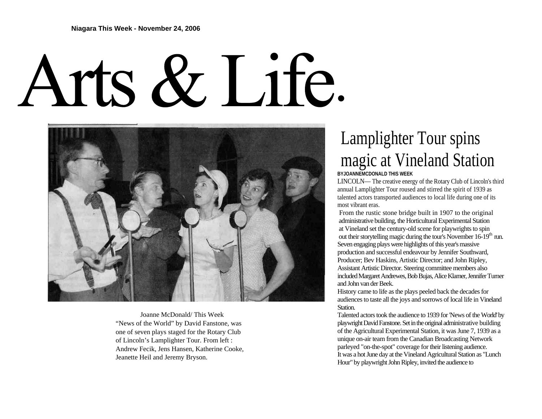## Arts & Life.



 Joanne McDonald/ This Week "News of the World" by David Fanstone, was one of seven plays staged for the Rotary Club of Lincoln's Lamplighter Tour. From left : Andrew Fecik, Jens Hansen, Katherine Cooke, Jeanette Heil and Jeremy Bryson.

## Lamplighter Tour spins magic at Vineland Station **BYJOANNEMCDONALD THIS WEEK**

LINCOLN— The creative energy of the Rotary Club of Lincoln's third annual Lamplighter Tour roused and stirred the spirit of 1939 as talented actors transported audiences to local life during one of its

most vibrant eras. From the rustic stone bridge built in 1907 to the original administrative building, the Horticultural Experimental Station at Vineland set the century-old scene for playwrights to spin out their storytelling magic during the tour's November  $16-19<sup>th</sup>$  run. Seven engaging plays were highlights of this year's massive production and successful endeavour by Jennifer Southward, Producer; Bev Haskins, Artistic Director; and John Ripley, Assistant Artistic Director. Steering committee members also included Margaret Andrewes, Bob Bujas, Alice Klamer, Jennifer Turner and John van der Beek.

History came to life as the plays peeled back the decades for audiences to taste all the joys and sorrows of local life in Vineland Station.

Talented actors took the audience to 1939 for 'News of the World' by playwright David Fanstone. Set in the original administrative building of the Agricultural Experimental Station, it was June 7, 1939 as a unique on-air team from the Canadian Broadcasting Network parleyed "on-the-spot" coverage for their listening audience. It was a hot June day at the Vineland Agricultural Station as "Lunch Hour" by playwright John Ripley, invited the audience to